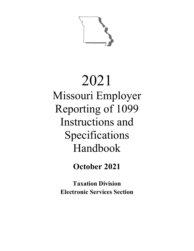

# 2021 Missouri Employer Reporting of 1099 Instructions and Specifications Handbook

**October 2021**

**Taxation Division Electronic Services Section**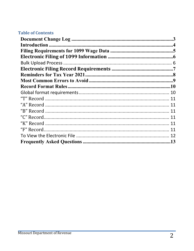## **Table of Contents**

| 11  |
|-----|
|     |
|     |
|     |
|     |
|     |
| 12  |
| .13 |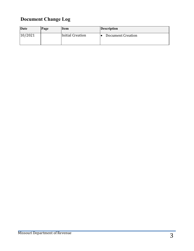## <span id="page-2-0"></span>**Document Change Log**

| Date    | Page | <b>Item</b>      | <b>Description</b>       |
|---------|------|------------------|--------------------------|
| 10/2021 |      | Initial Creation | <b>Document Creation</b> |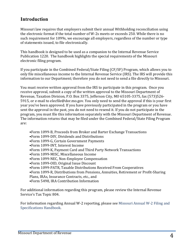## <span id="page-3-0"></span>**Introduction**

Missouri law requires that employers submit their annual Withholding reconciliation using the electronic format if the total number of W-2s meets or exceeds 250. While there is no such requirement for 1099s, we encourage all employers, regardless of the number or type of statements issued, to file electronically.

This handbook is designed to be used as a companion to the Internal Revenue Service Publication 1220. The handbook highlights the special requirements of the Missouri electronic filing program.

If you participate in the Combined Federal/State Filing (CF/SF) Program, which allows you to only file miscellaneous income to the Internal Revenue Service (IRS). The IRS will provide this information to our Department; therefore you do not need to send a file directly to Missouri.

You must receive written approval from the IRS to participate in this program. Once you receive approval, submit a copy of the written approval to the Missouri Department of Revenue, Taxation Division, P.O. Box 3375, Jefferson City, MO 65105-3375, fax (573)526- 5915, or e-mail to elecfile@dor.mo.gov. You only need to send the approval if this is your first year you've been approved. If you have previously participated in the program or you have sent the approval in the past, you do not need to resend it. If you do not participate in the program, you must file this information separately with the Missouri Department of Revenue. The information returns that may be filed under the Combined Federal/State Filing Program are:

- •Form 1099-B, Proceeds from Broker and Barter Exchange Transactions
- •Form 1099-DIV, Dividends and Distributions
- •Form 1099-G, Certain Government Payments
- •Form 1099-INT, Interest Income
- •Form 1099-K, Payment Card and Third Party Network Transactions
- •Form 1099-MISC, Miscellaneous Income
- •Form 1099-NEC, Non-Employee Compensation
- •Form 1099-OID, Original Issue Discount
- •Form 1099-PATR, Taxable Distributions Received From Cooperatives
- •Form 1099-R, Distributions from Pensions, Annuities, Retirement or Profit-Sharing
- Plans, IRAs, Insurance Contracts, etc., and
- •Form 5498, IRA Contribution Information

For additional information regarding this program, please review the Internal Revenue Service's Tax Topic 804.

For information regarding Annual W-2 reporting, please see [Missouri Annual W-2 Filing and](https://dor.mo.gov/taxation/business/tax-types/withholding/documents/MissouriAnnualW-2FilingGuidelines.pdf)  [Specifications Handbook.](https://dor.mo.gov/taxation/business/tax-types/withholding/documents/MissouriAnnualW-2FilingGuidelines.pdf)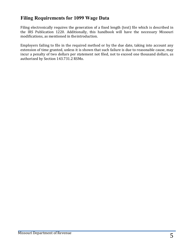## <span id="page-4-0"></span>**Filing Requirements for 1099 Wage Data**

Filing electronically requires the generation of a fixed length (text) file which is described in the IRS Publication 1220. Additionally, this handbook will have the necessary Missouri modifications, as mentioned in theintroduction.

Employers failing to file in the required method or by the due date, taking into account any extension of time granted, unless it is shown that such failure is due to reasonable cause, may incur a penalty of two dollars per statement not filed, not to exceed one thousand dollars, as authorized by Section 143.731.2 RSMo.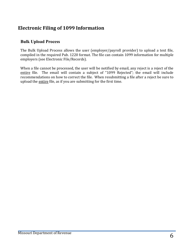## <span id="page-5-0"></span>**Electronic Filing of 1099 Information**

#### <span id="page-5-1"></span>**Bulk Upload Process**

The Bulk Upload Process allows the user (employer/payroll provider) to upload a text file, compiled in the required Pub. 1220 format. The file can contain 1099 information for multiple employers (see Electronic File/Records).

When a file cannot be processed, the user will be notified by email, any reject is a reject of the entire file. The email will contain a subject of "1099 Rejected"; the email will include recommendations on how to correct the file. When resubmitting a file after a reject be sure to upload the entire file, as if you are submitting for the first time.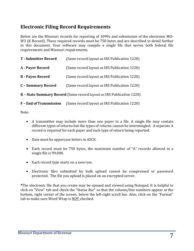## <span id="page-6-0"></span>**Electronic Filing Record Requirements**

Below are the Missouri records for reporting of 1099s and submission of the electronic MO-W3 (K Record). These required records must be 750 bytes and are described in detail further in this document. Your software may compile a single file that serves both federal file requirements and Missouri requirements.

| <b>T</b> - Submitter Record                                           | (Same record layout as IRS Publication 1220) |  |
|-----------------------------------------------------------------------|----------------------------------------------|--|
| A - Payer Record                                                      | (Same record layout as IRS Publication 1220) |  |
| <b>B</b> - Payee Record                                               | (Same record layout as IRS Publication 1220) |  |
| <b>C</b> - Summary Record                                             | (Same record layout as IRS Publication 1220) |  |
| K - State Summary Record (Same record layout as IRS Publication 1220) |                                              |  |

**F – End of Transmission** (Same record layout as IRS Publication 1220)

Note:

- A transmitter may include more than one payer in a file. A single file may contain different types of returns but the types of returns cannot be intermingled. A separate A record is required for each payer and each type of return being reported.
- Data must be uppercase letters in ASCII.
- Each record must be 750 bytes, the maximum number of "A" records allowed in a single file is 99,000.
- Each record type starts on a newrow.
- Electronic files submitted by bulk upload cannot be compressed or password protected. The file you upload is placed on an encrypted server.

**\***The electronic file that you create may be opened and viewed using Notepad. It is helpful to click on "View" tab and check the "Status Bar" so that the column/line numbers appear at the bottom, right corner of the screen, below the left-right scroll bar. Also, click on the "Format" tab to make sure Word Wrap is NOT checked.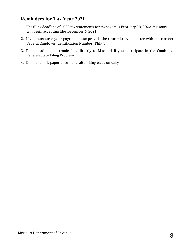## <span id="page-7-0"></span>**Reminders for Tax Year 2021**

- 1. The filing deadline of 1099 tax statements for taxpayers is February 28, 2022. Missouri will begin accepting files December 6, 2021.
- 2. If you outsource your payroll, please provide the transmitter/submitter with the **correct**  Federal Employer Identification Number (FEIN).
- 3. Do not submit electronic files directly to Missouri if you participate in the Combined Federal/State Filing Program.
- 4. Do not submit paper documents after filing electronically.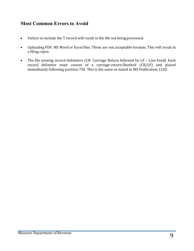## <span id="page-8-0"></span>**Most Common Errors to Avoid**

- Failure to include the T record will result in the file not beingprocessed.
- Uploading PDF, MS Word or Excel files. These are not acceptable formats. This will result in a filing reject.
- The file missing record delimiters (CR- Carriage Return followed by LF Line Feed). Each record delimiter must consist of a carriage-return/linefeed (CR/LF) and placed immediately following position 750. This is the same as stated in IRS Publication 1220.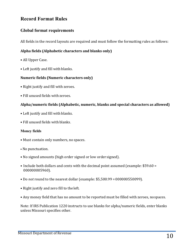## <span id="page-9-0"></span>**Record Format Rules**

### <span id="page-9-1"></span>**Global format requirements**

All fields in the record layouts are required and must follow the formatting rules as follows:

#### **Alpha fields (Alphabetic characters and blanks only)**

- All Upper Case.
- Left justify and fill with blanks.

#### **Numeric fields (Numeric characters only)**

- Right justify and fill with zeroes.
- Fill unused fields with zeroes.

#### **Alpha/numeric fields (Alphabetic, numeric, blanks and special characters as allowed)**

- Left justify and fill with blanks.
- Fill unused fields with blanks.

#### **Money fields**

- Must contain only numbers, no spaces.
- No punctuation.
- No signed amounts (high order signed or low order signed).
- Include both dollars and cents with the decimal point assumed (example: \$59.60 = 000000005960).
- Do *not* round to the nearest dollar (example: \$5,500.99 =000000550099).
- Right justify and zero fill to the left.
- Any money field that has no amount to be reported must be filled with zeroes, nospaces.

Note: If IRS Publication 1220 instructs to use blanks for alpha/numeric fields, enter blanks unless Missouri specifies other.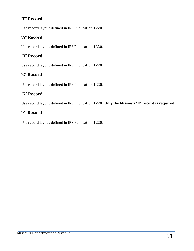## <span id="page-10-0"></span>**"T" Record**

Use record layout defined in IRS Publication 1220

## <span id="page-10-1"></span>**"A" Record**

Use record layout defined in IRS Publication 1220.

## <span id="page-10-2"></span>**"B" Record**

Use record layout defined in IRS Publication 1220.

## <span id="page-10-3"></span>**"C" Record**

Use record layout defined in IRS Publication 1220.

## <span id="page-10-4"></span>**"K" Record**

Use record layout defined in IRS Publication 1220. **Only the Missouri "K" record is required.**

## <span id="page-10-5"></span>**"F" Record**

Use record layout defined in IRS Publication 1220.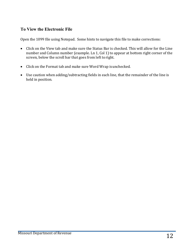## <span id="page-11-0"></span>**To View the Electronic File**

Open the 1099 file using Notepad. Some hints to navigate this file to make corrections:

- Click on the View tab and make sure the Status Bar is checked. This will allow for the Line number and Column number (example. Ln 1, Col 1) to appear at bottom right corner of the screen, below the scroll bar that goes from left toright.
- Click on the Format tab and make sure Word Wrap isunchecked.
- Use caution when adding/subtracting fields in each line, that the remainder of the line is held in position.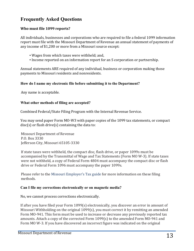## <span id="page-12-0"></span>**Frequently Asked Questions**

#### **Who must file 1099 reports?**

All individuals, businesses and corporations who are required to file a federal 1099 information report must file with the Missouri Department of Revenue an annual statement of payments of any income of \$1,200 or more from a Missouri source except:

- Wages from which taxes were withheld; and,
- Income reported on an information report for an S corporation or partnership.

Annual statements ARE required of any individual, business or corporation making those payments to Missouri residents and nonresidents.

#### **How do I name my electronic file before submitting it to the Department?**

Any name is acceptable.

#### **What other methods of filing are accepted?**

Combined Federal/State Filing Program with the Internal Revenue Service.

You may send paper Form MO-W3 with paper copies of the 1099 tax statements, or compact  $disc(s)$  or flash drive $(s)$  containing the data to:

Missouri Department of Revenue P.O. Box 3330 Jefferson City, Missouri 65105-3330

If state taxes were withheld, the compact disc, flash drive, or paper 1099s must be accompanied by the Transmittal of Wage and Tax Statements (Form MO W-3). If state taxes were not withheld, a copy of Federal Form 4804 must accompany the compact disc or flash drive or Federal Form 1096 must accompany the paper 1099s.

Please refer to the [Missouri Employer's Tax guide](https://dor.mo.gov/forms/4282_2021.pdf) for more information on these filing methods.

#### **Can I file my corrections electronically or on magnetic media?**

No, we cannot process corrections electronically.

If after you have filed your Form 1099(s) electronically, you discover an error in amount of Missouri Withholding on the original 1099(s), you must correct it by remitting an amended Form MO-941. This form must be used to increase or decrease any previously reported tax amounts. Attach a copy of the corrected Form 1099(s) to the amended Form MO-941 and Form MO W-3. If you have discovered an incorrect figure was indicated on the original